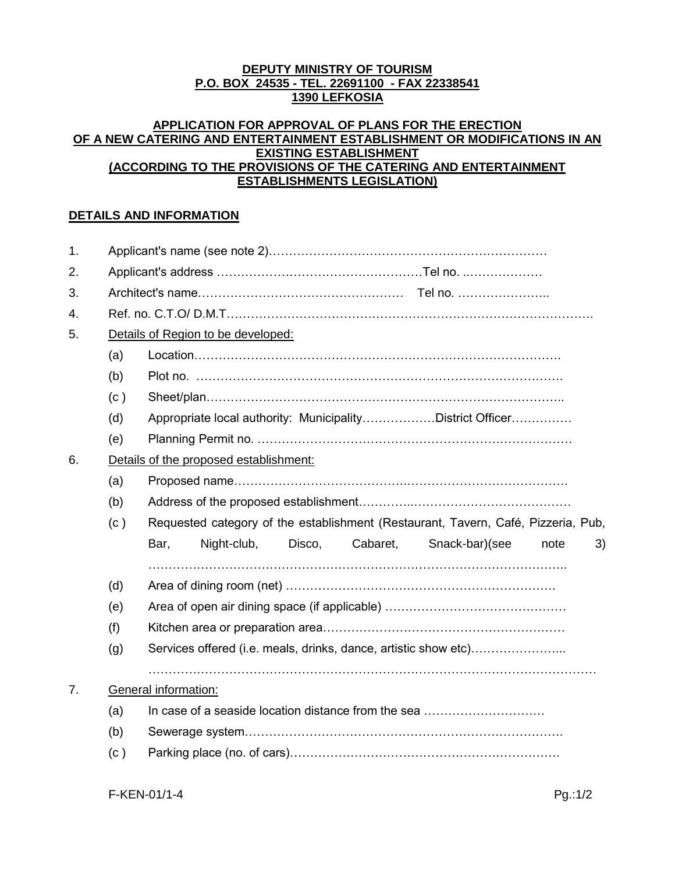# **DEPUTY MINISTRY OF TOURISM P.O. BOX 24535 - TEL. 22691100 - FAX 22338541 1390 LEFKOSIA**

#### **APPLICATION FOR APPROVAL OF PLANS FOR THE ERECTION OF A NEW CATERING AND ENTERTAINMENT ESTABLISHMENT OR MODIFICATIONS IN AN EXISTING ESTABLISHMENT (ACCORDING TO THE PROVISIONS OF THE CATERING AND ENTERTAINMENT ESTABLISHMENTS LEGISLATION)**

# **DETAILS AND INFORMATION**

| 1. |                                        |                                                                                   |             |        |          |                                                                 |      |    |  |
|----|----------------------------------------|-----------------------------------------------------------------------------------|-------------|--------|----------|-----------------------------------------------------------------|------|----|--|
| 2. |                                        |                                                                                   |             |        |          |                                                                 |      |    |  |
| 3. |                                        |                                                                                   |             |        |          |                                                                 |      |    |  |
| 4. |                                        |                                                                                   |             |        |          |                                                                 |      |    |  |
| 5. | Details of Region to be developed:     |                                                                                   |             |        |          |                                                                 |      |    |  |
|    | (a)                                    |                                                                                   |             |        |          |                                                                 |      |    |  |
|    | (b)                                    |                                                                                   |             |        |          |                                                                 |      |    |  |
|    | (c)                                    |                                                                                   |             |        |          |                                                                 |      |    |  |
|    | (d)                                    | Appropriate local authority: MunicipalityDistrict Officer                         |             |        |          |                                                                 |      |    |  |
|    | (e)                                    |                                                                                   |             |        |          |                                                                 |      |    |  |
| 6. | Details of the proposed establishment: |                                                                                   |             |        |          |                                                                 |      |    |  |
|    | (a)                                    |                                                                                   |             |        |          |                                                                 |      |    |  |
|    | (b)                                    |                                                                                   |             |        |          |                                                                 |      |    |  |
|    | (c)                                    | Requested category of the establishment (Restaurant, Tavern, Café, Pizzeria, Pub, |             |        |          |                                                                 |      |    |  |
|    |                                        | Bar,                                                                              | Night-club, | Disco, | Cabaret, | Snack-bar)(see                                                  | note | 3) |  |
|    |                                        |                                                                                   |             |        |          |                                                                 |      |    |  |
|    | (d)                                    |                                                                                   |             |        |          |                                                                 |      |    |  |
|    | (e)                                    |                                                                                   |             |        |          |                                                                 |      |    |  |
|    | (f)                                    |                                                                                   |             |        |          |                                                                 |      |    |  |
|    | (g)                                    |                                                                                   |             |        |          | Services offered (i.e. meals, drinks, dance, artistic show etc) |      |    |  |
|    |                                        |                                                                                   |             |        |          |                                                                 |      |    |  |
| 7. |                                        | General information:                                                              |             |        |          |                                                                 |      |    |  |
|    | (a)                                    |                                                                                   |             |        |          | In case of a seaside location distance from the sea             |      |    |  |
|    | (b)                                    |                                                                                   |             |        |          |                                                                 |      |    |  |
|    | (c)                                    |                                                                                   |             |        |          |                                                                 |      |    |  |